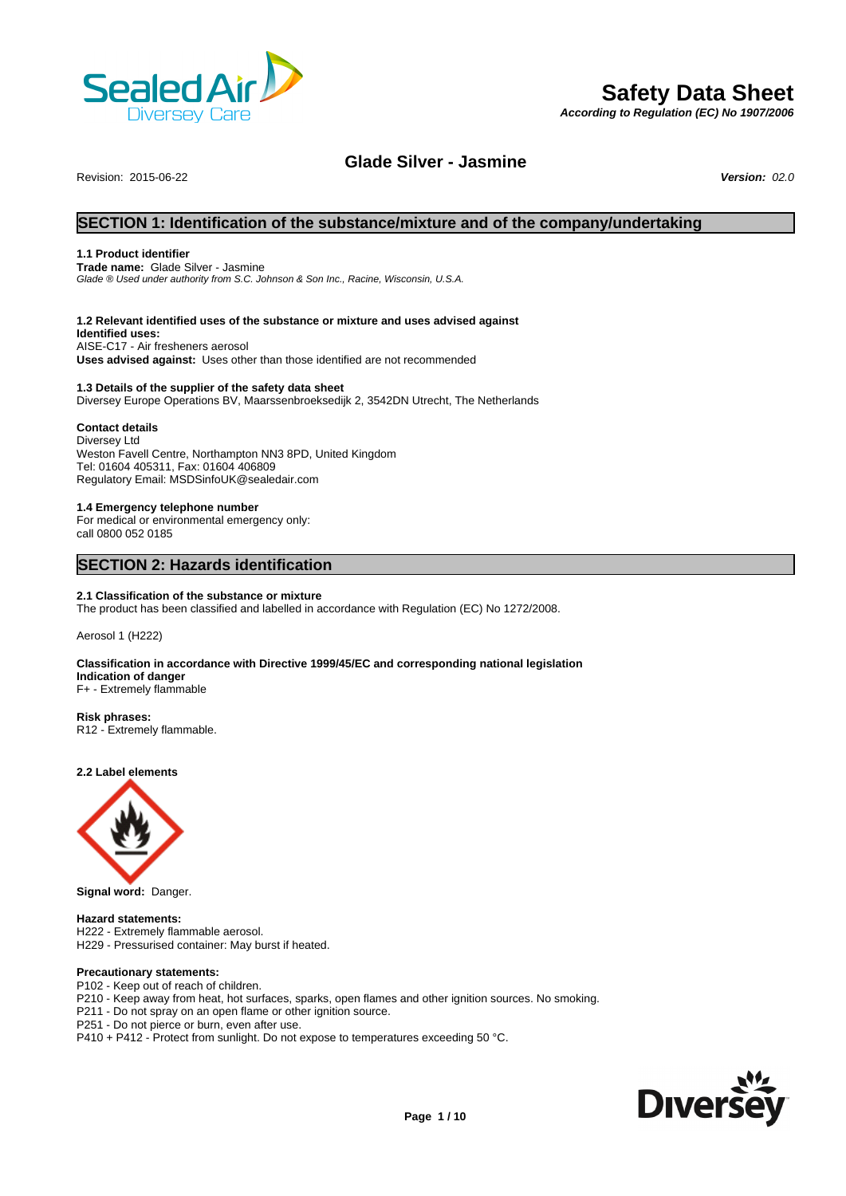

# **Safety Data Sheet**

*According to Regulation (EC) No 1907/2006*

# **Glade Silver - Jasmine**

Revision: 2015-06-22 *Version: 02.0*

# **SECTION 1: Identification of the substance/mixture and of the company/undertaking**

# **1.1 Product identifier**

**Trade name:** Glade Silver - Jasmine *Glade ® Used under authority from S.C. Johnson & SonInc., Racine, Wisconsin, U.S.A.*

# **1.2 Relevant identified uses of the substance or mixture and uses advised against**

**Identified uses:** AISE-C17 - Air fresheners aerosol **Uses advised against:** Uses other than those identified are not recommended

**1.3 Details of the supplier of the safety data sheet** Diversey Europe Operations BV, Maarssenbroeksedijk 2, 3542DN Utrecht, The Netherlands

# **Contact details**

Diversey Ltd Weston Favell Centre, Northampton NN3 8PD, United Kingdom Tel: 01604 405311, Fax: 01604 406809 Regulatory Email: MSDSinfoUK@sealedair.com

**1.4 Emergency telephone number** For medical or environmental emergency only:

call 0800 052 0185

# **SECTION 2: Hazards identification**

# **2.1 Classification of the substance or mixture** The product has been classified and labelled in accordance with Regulation (EC) No 1272/2008.

Aerosol 1 (H222)

#### **Classification in accordance with Directive 1999/45/EC and corresponding national legislation Indication of danger** F+ - Extremely flammable

**Risk phrases:**

R12 - Extremely flammable.

**2.2 Label elements**



**Signal word:** Danger.

**Hazard statements:**  H222 - Extremely flammable aerosol. H229 - Pressurised container: May burst if heated.

# **Precautionary statements:**

P102 - Keep out of reach of children.

P210 - Keep away from heat, hot surfaces, sparks, open flames and other ignition sources. No smoking.

P211 - Do not spray on an open flame or other ignition source.

P251 - Do not pierce or burn, even after use.

P410 + P412 - Protect from sunlight. Do not expose to temperatures exceeding 50 °C.

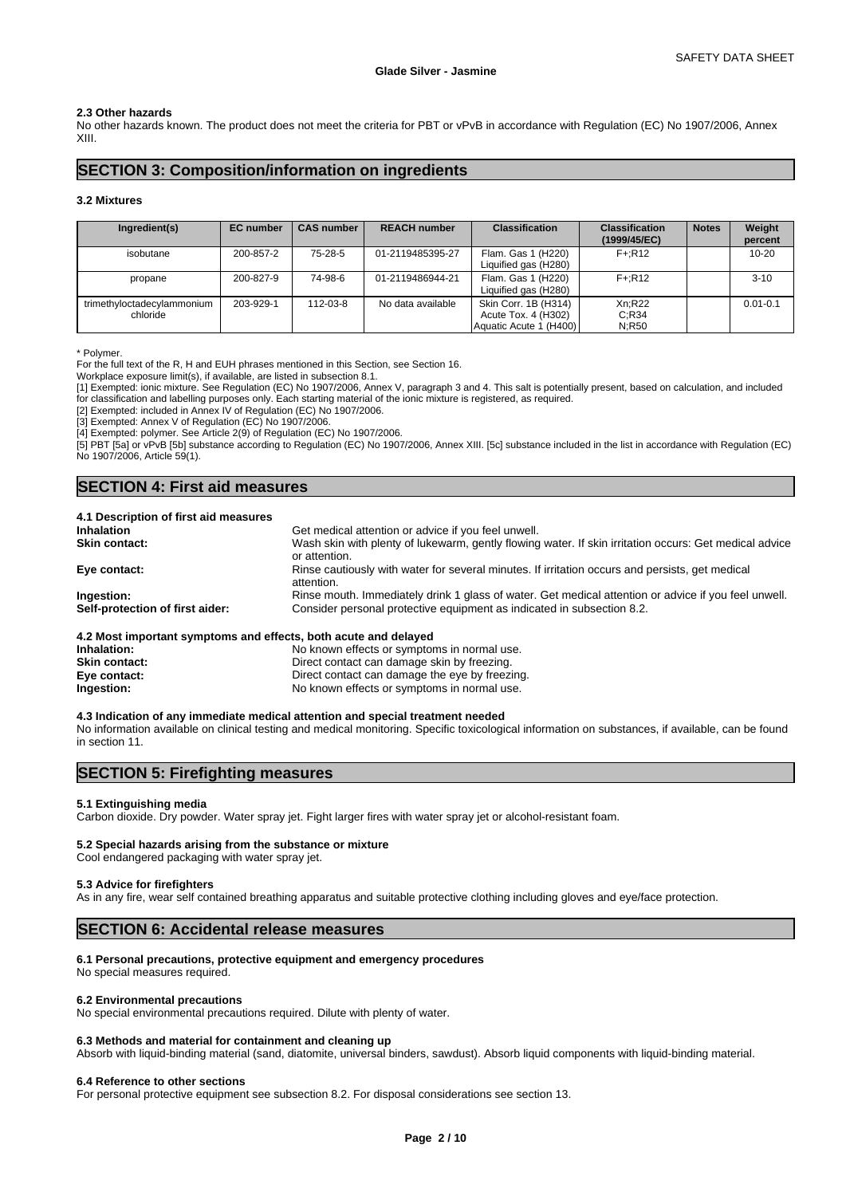# **2.3 Other hazards**

No other hazards known. The product does not meet the criteria for PBT or vPvB in accordance with Regulation (EC) No 1907/2006, Annex XIII.

# **SECTION 3: Composition/information on ingredients**

# **3.2 Mixtures**

| Ingredient(s)                          | <b>EC</b> number | <b>CAS number</b> | <b>REACH number</b> | <b>Classification</b>                                                 | <b>Classification</b><br>(1999/45/EC) | <b>Notes</b> | Weight<br>percent |
|----------------------------------------|------------------|-------------------|---------------------|-----------------------------------------------------------------------|---------------------------------------|--------------|-------------------|
| isobutane                              | 200-857-2        | 75-28-5           | 01-2119485395-27    | Flam. Gas 1 (H220)<br>Liquified gas (H280)                            | F+:R12                                |              | $10 - 20$         |
| propane                                | 200-827-9        | 74-98-6           | 01-2119486944-21    | Flam. Gas 1 (H220)<br>Liquified gas (H280)                            | F+:R12                                |              | $3 - 10$          |
| trimethyloctadecylammonium<br>chloride | 203-929-1        | 112-03-8          | No data available   | Skin Corr. 1B (H314)<br>Acute Tox. 4 (H302)<br>Aquatic Acute 1 (H400) | Xn:R22<br>C:R34<br>N:R50              |              | $0.01 - 0.1$      |

\* Polymer.

For the full text of the R, H and EUH phrases mentioned in this Section, see Section 16.

Workplace exposure limit(s), if available, are listed in subsection 8.1.

[1] Exempted: ionic mixture. See Regulation (EC) No 1907/2006, Annex V, paragraph 3 and 4. This salt is potentially present, based on calculation, and included for classification and labelling purposes only. Each starting material of the ionic mixture is registered, as required.

[2] Exempted: included in Annex IV of Regulation (EC) No 1907/2006.

[3] Exempted: Annex V of Regulation (EC) No 1907/2006.

[4] Exempted: polymer. See Article 2(9) of Regulation (EC) No 1907/2006.

[5] PBT [5a] or vPvB [5b] substance according to Regulation (EC) No 1907/2006, Annex XIII. [5c] substance included in the list in accordance with Regulation (EC) No 1907/2006, Article 59(1).

# **SECTION 4: First aid measures**

| 4.1 Description of first aid measures                           |                                                                                                                         |
|-----------------------------------------------------------------|-------------------------------------------------------------------------------------------------------------------------|
| <b>Inhalation</b>                                               | Get medical attention or advice if you feel unwell.                                                                     |
| <b>Skin contact:</b>                                            | Wash skin with plenty of lukewarm, gently flowing water. If skin irritation occurs: Get medical advice<br>or attention. |
| Eye contact:                                                    | Rinse cautiously with water for several minutes. If irritation occurs and persists, get medical<br>attention.           |
| Ingestion:                                                      | Rinse mouth. Immediately drink 1 glass of water. Get medical attention or advice if you feel unwell.                    |
| Self-protection of first aider:                                 | Consider personal protective equipment as indicated in subsection 8.2.                                                  |
| 4.2 Most important symptoms and effects, both acute and delayed |                                                                                                                         |
| Inhalation:                                                     | No known effects or symptoms in normal use.                                                                             |

| Inhalation:          | No known effects or symptoms in normal use.    |
|----------------------|------------------------------------------------|
| <b>Skin contact:</b> | Direct contact can damage skin by freezing.    |
| Eye contact:         | Direct contact can damage the eye by freezing. |
| Ingestion:           | No known effects or symptoms in normal use.    |
|                      |                                                |

#### **4.3 Indication of any immediate medical attention and special treatment needed**

No information available on clinical testing and medical monitoring. Specific toxicological information on substances, if available, can be found in section 11.

# **SECTION 5: Firefighting measures**

#### **5.1 Extinguishing media**

Carbon dioxide. Dry powder. Water spray jet. Fight larger fires with water spray jet or alcohol-resistant foam.

# **5.2 Special hazards arising from the substance or mixture**

Cool endangered packaging with water spray jet.

#### **5.3 Advice for firefighters**

As in any fire, wear self contained breathing apparatus and suitable protective clothing including gloves and eye/face protection.

# **SECTION 6: Accidental release measures**

#### **6.1 Personal precautions, protective equipment and emergency procedures**

No special measures required.

#### **6.2 Environmental precautions**

No special environmental precautions required. Dilute with plenty of water.

## **6.3 Methods and material for containment and cleaning up**

Absorb with liquid-binding material (sand, diatomite, universal binders, sawdust). Absorb liquid components with liquid-binding material.

#### **6.4 Reference to other sections**

For personal protective equipment see subsection 8.2. For disposal considerations see section 13.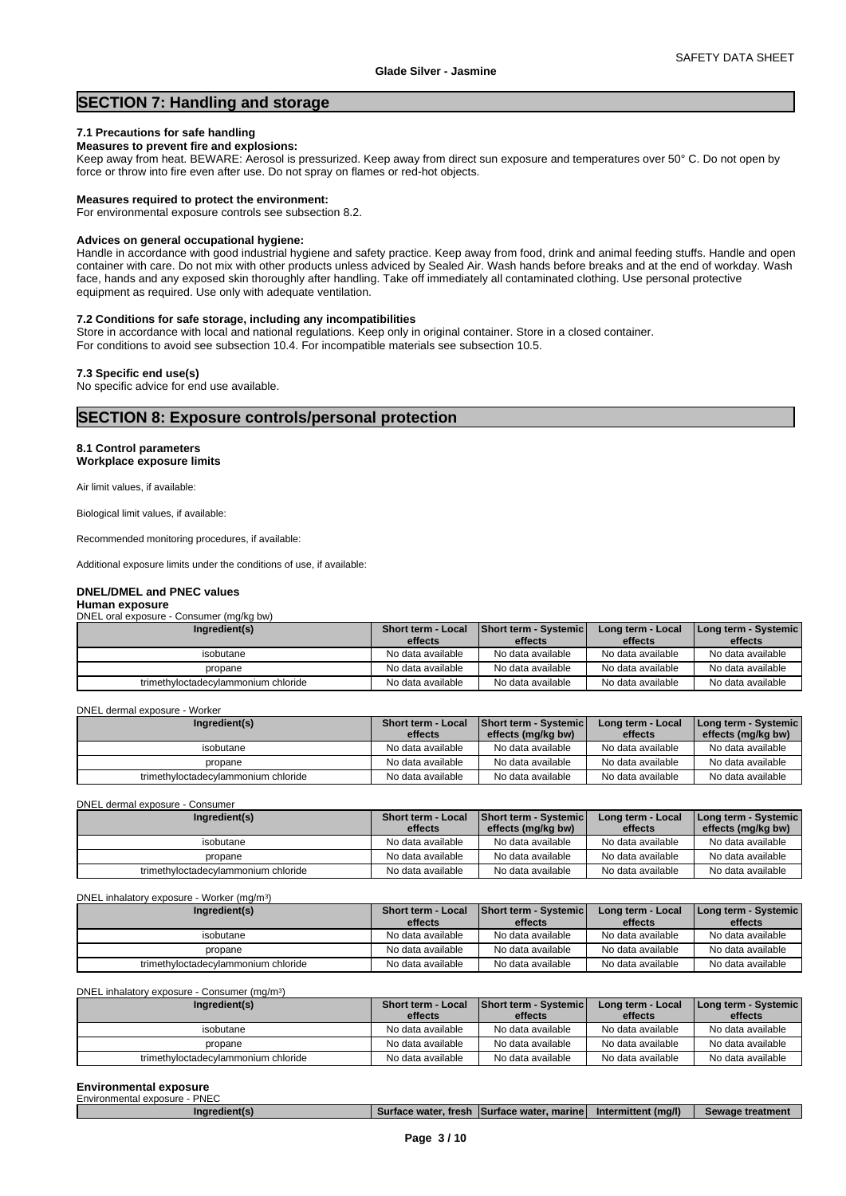# **SECTION 7: Handling and storage**

## **7.1 Precautions for safe handling**

# **Measures to prevent fire and explosions:**

Keep away from heat. BEWARE: Aerosol is pressurized. Keep away from direct sun exposure and temperatures over 50° C. Do not open by force or throw into fire even after use. Do not spray on flames or red-hot objects.

#### **Measures required to protect the environment:**

For environmental exposure controls see subsection 8.2.

# **Advices on general occupational hygiene:**

Handle in accordance with good industrial hygiene and safety practice. Keep away from food, drink and animal feeding stuffs. Handle and open container with care. Do not mix with other products unless adviced by Sealed Air. Wash hands before breaks and at the end of workday. Wash face, hands and any exposed skin thoroughly after handling. Take off immediately all contaminated clothing. Use personal protective equipment as required. Use only with adequate ventilation.

# **7.2 Conditions for safe storage, including any incompatibilities**

Store in accordance with local and national regulations. Keep only in original container. Store in a closed container. For conditions to avoid see subsection 10.4. For incompatible materials see subsection 10.5.

#### **7.3 Specific end use(s)**

No specific advice for end use available.

# **SECTION 8: Exposure controls/personal protection**

) and  $\overline{\phantom{a}}$ 

 $)$ 

#### **8.1 Control parameters Workplace exposure limits**

Air limit values, if available:

Biological limit values, if available:

Recommended monitoring procedures, if available:

Additional exposure limits under the conditions of use, if available:

#### **DNEL/DMEL and PNEC values**

#### **Human exposure**

DNEL oral exposure - Consumer (mg/kg bw)

| Ingredient(s)                       | <b>Short term - Local</b><br>effects | <b>Short term - Systemic</b><br>effects | Long term - Local<br>effects | Long term - Systemic  <br>effects |
|-------------------------------------|--------------------------------------|-----------------------------------------|------------------------------|-----------------------------------|
| isobutane                           | No data available                    | No data available                       | No data available            | No data available                 |
| propane                             | No data available                    | No data available                       | No data available            | No data available                 |
| trimethyloctadecylammonium chloride | No data available                    | No data available                       | No data available            | No data available                 |

DNEL dermal exposure - Worker

| Ingredient(s)                       | <b>Short term - Local</b><br>effects | <b>Short term - Systemic</b><br>effects (mg/kg bw) | Long term - Local<br>effects | Long term - Systemic  <br>effects (mg/kg bw) |
|-------------------------------------|--------------------------------------|----------------------------------------------------|------------------------------|----------------------------------------------|
| isobutane                           | No data available                    | No data available                                  | No data available            | No data available                            |
| propane                             | No data available                    | No data available                                  | No data available            | No data available                            |
| trimethyloctadecylammonium chloride | No data available                    | No data available                                  | No data available            | No data available                            |

DNEL dermal exposure - Consumer

| Ingredient(s)                       | <b>Short term - Local</b> | <b>Short term - Systemic</b> | Long term - Local | [Long term - Systemic] |
|-------------------------------------|---------------------------|------------------------------|-------------------|------------------------|
|                                     | effects                   | effects (mg/kg bw)           | effects           | effects (mg/kg bw)     |
| isobutane                           | No data available         | No data available            | No data available | No data available      |
| propane                             | No data available         | No data available            | No data available | No data available      |
| trimethyloctadecylammonium chloride | No data available         | No data available            | No data available | No data available      |

#### DNEL inhalatory exposure - Worker (mg/m<sup>3</sup>

| Ingredient(s)                       | <b>Short term - Local</b> | <b>Short term - Systemic</b> | Long term - Local | <b>I Long term - Systemic  </b> |
|-------------------------------------|---------------------------|------------------------------|-------------------|---------------------------------|
|                                     | effects                   | effects                      | effects           | effects                         |
| isobutane                           | No data available         | No data available            | No data available | No data available               |
| propane                             | No data available         | No data available            | No data available | No data available               |
| trimethyloctadecylammonium chloride | No data available         | No data available            | No data available | No data available               |

DNEL inhalatory exposure - Consumer (mg/m<sup>3</sup>

| Ingredient(s)                       | <b>Short term - Local</b> | <b>Short term - Systemic</b> | Long term - Local | Long term - Systemic |
|-------------------------------------|---------------------------|------------------------------|-------------------|----------------------|
|                                     | effects                   | effects                      | effects           | effects              |
| isobutane                           | No data available         | No data available            | No data available | No data available    |
| propane                             | No data available         | No data available            | No data available | No data available    |
| trimethyloctadecylammonium chloride | No data available         | No data available            | No data available | No data available    |

#### **Environmental exposure** Environmental exposure - PNEC

| $(ma/l)^{n}$<br>.∕face water. marine⊺<br>าtmen<br>18m<br>Intermittent<br><b><i>ALLASTER</i></b><br>fresh<br>uredien*'<br>. .<br>77 I C |
|----------------------------------------------------------------------------------------------------------------------------------------|
|----------------------------------------------------------------------------------------------------------------------------------------|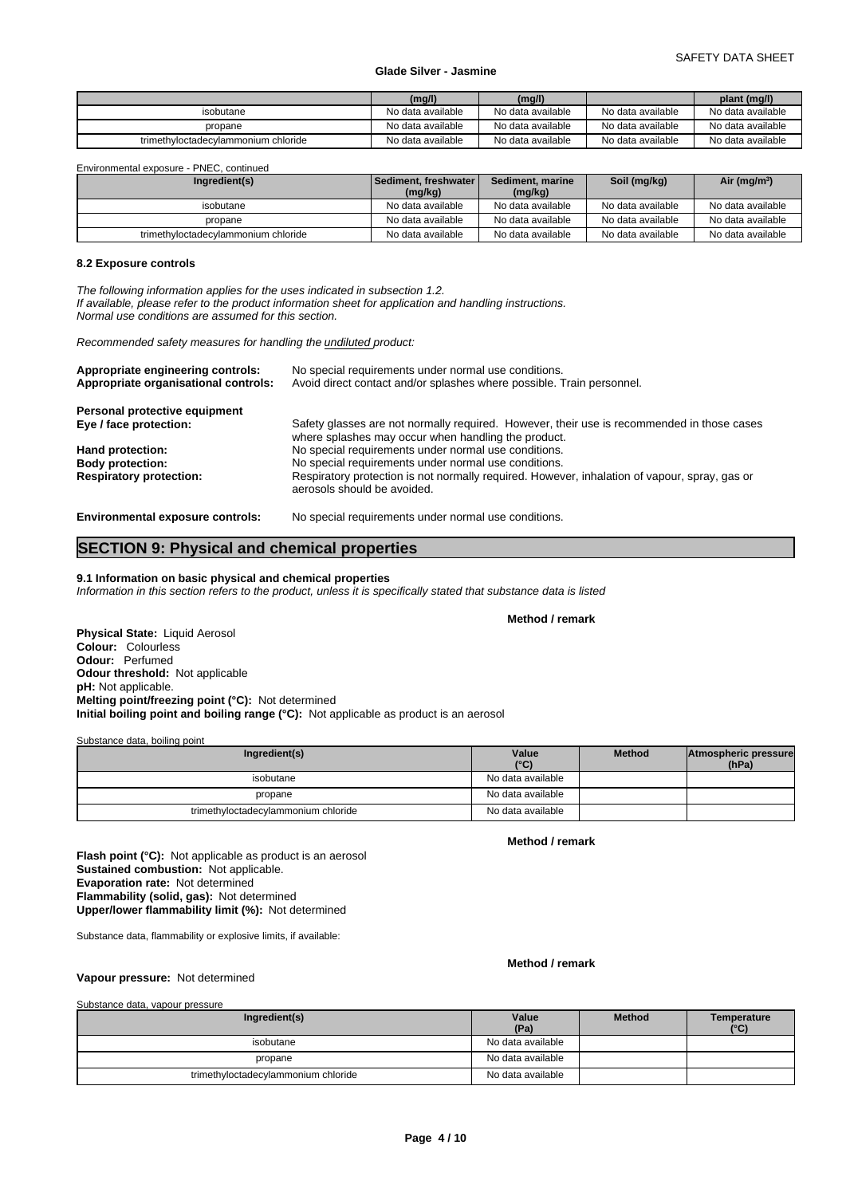|                                     | (mg/l)            | (mg/l)            |                   | plant (mg/l)      |
|-------------------------------------|-------------------|-------------------|-------------------|-------------------|
| isobutane                           | No data available | No data available | No data available | No data available |
| propane                             | No data available | No data available | No data available | No data available |
| trimethyloctadecylammonium chloride | No data available | No data available | No data available | No data available |

Environmental exposure - PNEC, continued

| Ingredient(s)                       | I Sediment, freshwater l<br>(mg/kg) | Sediment, marine<br>(mg/kg) | Soil (mg/kg)      | Air (mg/m <sup>3</sup> ) |
|-------------------------------------|-------------------------------------|-----------------------------|-------------------|--------------------------|
| isobutane                           | No data available                   | No data available           | No data available | No data available        |
| propane                             | No data available                   | No data available           | No data available | No data available        |
| trimethyloctadecylammonium chloride | No data available                   | No data available           | No data available | No data available        |

# **8.2 Exposure controls**

*The following information applies for the uses indicated in subsection 1.2. If available, please refer to the product information sheet for application and handling instructions. Normal use conditions are assumed for this section.*

*Recommended safety measures for handling the undiluted product:*

| Appropriate engineering controls:<br>Appropriate organisational controls: | No special requirements under normal use conditions.<br>Avoid direct contact and/or splashes where possible. Train personnel.                     |
|---------------------------------------------------------------------------|---------------------------------------------------------------------------------------------------------------------------------------------------|
| Personal protective equipment                                             |                                                                                                                                                   |
| Eye / face protection:                                                    | Safety glasses are not normally required. However, their use is recommended in those cases<br>where splashes may occur when handling the product. |
| Hand protection:                                                          | No special requirements under normal use conditions.                                                                                              |
| <b>Body protection:</b>                                                   | No special requirements under normal use conditions.                                                                                              |
| <b>Respiratory protection:</b>                                            | Respiratory protection is not normally required. However, inhalation of vapour, spray, gas or<br>aerosols should be avoided.                      |
| <b>Environmental exposure controls:</b>                                   | No special requirements under normal use conditions.                                                                                              |

# **SECTION 9: Physical and chemical properties**

# **9.1 Information on basic physical and chemical properties**

*Information in this section refers to the product, unless it is specifically stated that substance data is listed*

**Method / remark**

**Physical State:** Liquid Aerosol **Colour:** Colourless **Odour:** Perfumed **Odour threshold:** Not applicable **pH:** Not applicable. **Melting point/freezing point (°C):** Not determined **Initial boiling point and boiling range (°C):** Not applicable as product is an aerosol

Substance data, boiling point

| Ingredient(s)                       | Value<br>$(^{\circ}C)$ | <b>Method</b> | Atmospheric pressure<br>(hPa) |  |
|-------------------------------------|------------------------|---------------|-------------------------------|--|
| isobutane                           | No data available      |               |                               |  |
| propane                             | No data available      |               |                               |  |
| trimethyloctadecylammonium chloride | No data available      |               |                               |  |

**Method / remark**

**Flash point (°C):** Not applicable as product is an aerosol **Sustained combustion:** Not applicable. **Evaporation rate:** Not determined **Flammability (solid, gas):** Not determined **Upper/lower flammability limit (%):** Not determined

Substance data, flammability or explosive limits, if available:

# **Method / remark**

**Vapour pressure:** Not determined

| Substance data, vapour pressure     |                   |               |                              |
|-------------------------------------|-------------------|---------------|------------------------------|
| Ingredient(s)                       | Value<br>(Pa)     | <b>Method</b> | Temperature<br>$(^{\circ}C)$ |
| isobutane                           | No data available |               |                              |
| propane                             | No data available |               |                              |
| trimethyloctadecylammonium chloride | No data available |               |                              |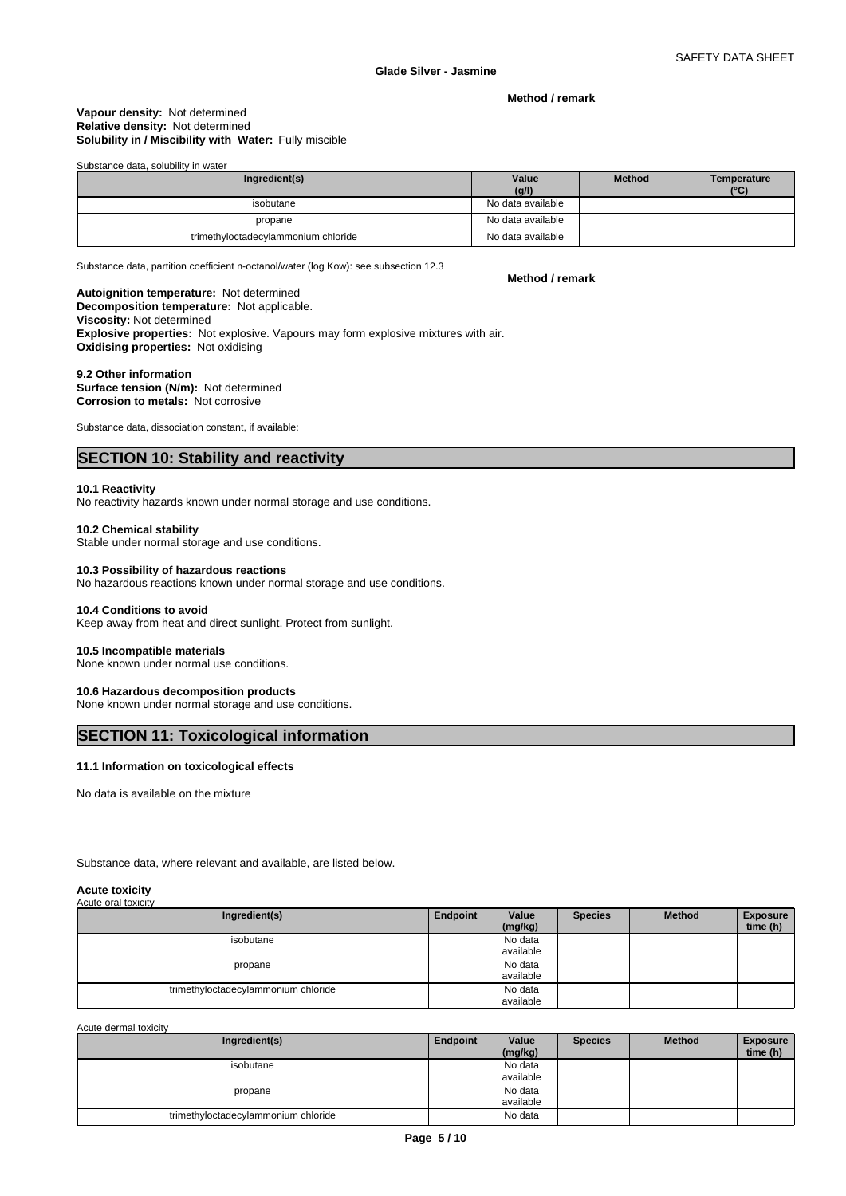**Method / remark**

## **Solubility in / Miscibility with Water:** Fully miscible **Vapour density:** Not determined **Relative density:** Not determined

Substance data, solubility in water

| Ingredient(s)                       | Value<br>(g/l)    | <b>Method</b> | Temperature<br>$(^{\circ}C)$ |
|-------------------------------------|-------------------|---------------|------------------------------|
| isobutane                           | No data available |               |                              |
| propane                             | No data available |               |                              |
| trimethyloctadecylammonium chloride | No data available |               |                              |

Substance data, partition coefficient n-octanol/water (log Kow): see subsection 12.3

**Method / remark**

#### **Decomposition temperature:** Not applicable. **Autoignition temperature:** Not determined

# **Viscosity:** Not determined

**Explosive properties:** Not explosive. Vapours may form explosive mixtures with air. **Oxidising properties:** Not oxidising

## **9.2 Other information**

**Surface tension (N/m):** Not determined **Corrosion to metals:** Not corrosive

Substance data, dissociation constant, if available:

# **SECTION 10: Stability and reactivity**

# **10.1 Reactivity**

No reactivity hazards known under normal storage and use conditions.

# **10.2 Chemical stability**

Stable under normal storage and use conditions.

# **10.3 Possibility of hazardous reactions**

No hazardous reactions known under normal storage and use conditions.

#### **10.4 Conditions to avoid**

Keep away from heat and direct sunlight. Protect from sunlight.

# **10.5 Incompatible materials**

None known under normal use conditions.

# **10.6 Hazardous decomposition products**

None known under normal storage and use conditions.

# **SECTION 11: Toxicological information**

#### **11.1 Information on toxicological effects**

No data is available on the mixture

Substance data, where relevant and available, are listed below.

# **Acute toxicity**

| .                   |  |
|---------------------|--|
| Acute oral toxicity |  |

| Ingredient(s)                       | Endpoint | Value     | <b>Species</b> | <b>Method</b> | <b>Exposure</b> |
|-------------------------------------|----------|-----------|----------------|---------------|-----------------|
|                                     |          | (mg/kg)   |                |               | time (h)        |
| isobutane                           |          | No data   |                |               |                 |
|                                     |          | available |                |               |                 |
| propane                             |          | No data   |                |               |                 |
|                                     |          | available |                |               |                 |
| trimethyloctadecylammonium chloride |          | No data   |                |               |                 |
|                                     |          | available |                |               |                 |

Acute dermal toxicity

| Ingredient(s)                       | Endpoint | Value     | <b>Species</b> | <b>Method</b> | <b>Exposure</b> |  |
|-------------------------------------|----------|-----------|----------------|---------------|-----------------|--|
|                                     |          | (mg/kg)   |                |               | time (h)        |  |
| isobutane                           |          | No data   |                |               |                 |  |
|                                     |          | available |                |               |                 |  |
| propane                             |          | No data   |                |               |                 |  |
|                                     |          | available |                |               |                 |  |
| trimethyloctadecylammonium chloride |          | No data   |                |               |                 |  |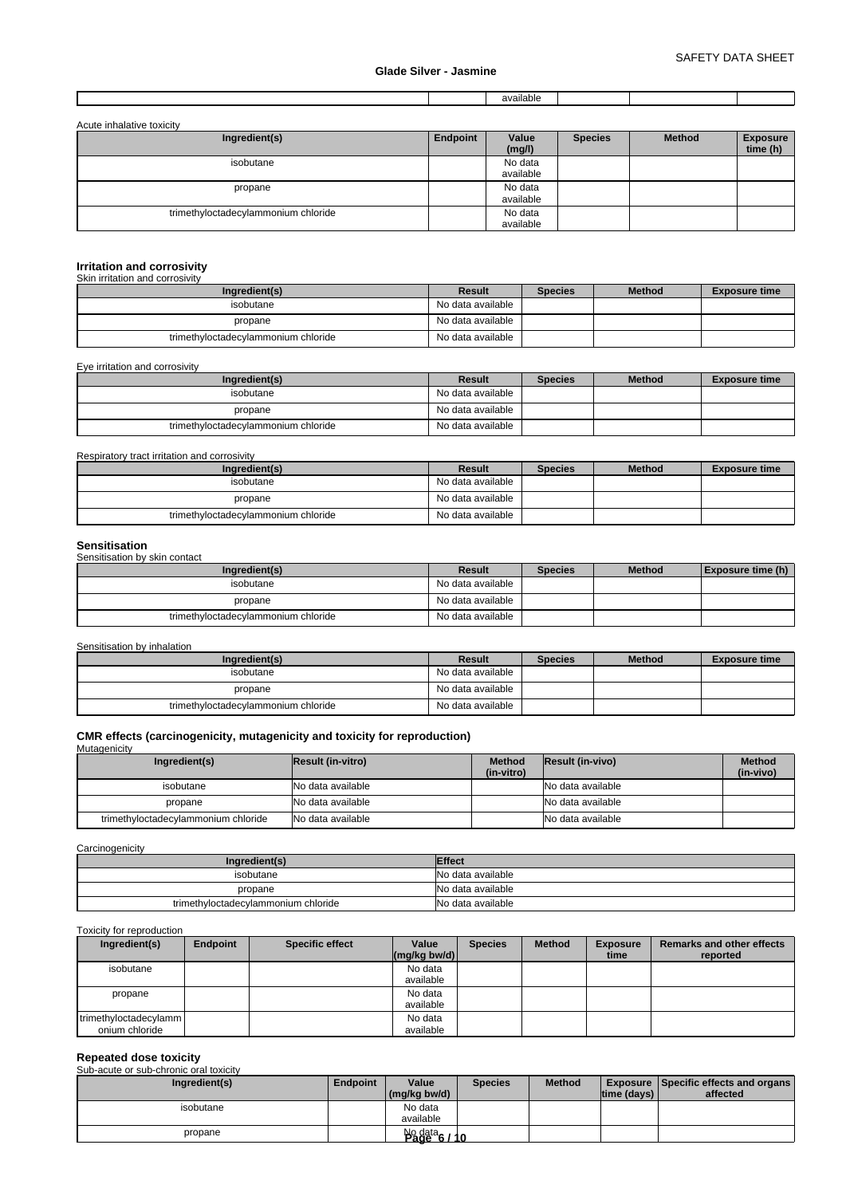|  |  |  | <br>available |  |  |  |
|--|--|--|---------------|--|--|--|
|--|--|--|---------------|--|--|--|

| Acute inhalative toxicity           |          |                      |                |               |                             |
|-------------------------------------|----------|----------------------|----------------|---------------|-----------------------------|
| Ingredient(s)                       | Endpoint | Value<br>(mg/l)      | <b>Species</b> | <b>Method</b> | <b>Exposure</b><br>time (h) |
| isobutane                           |          | No data<br>available |                |               |                             |
| propane                             |          | No data<br>available |                |               |                             |
| trimethyloctadecylammonium chloride |          | No data<br>available |                |               |                             |

# **Irritation and corrosivity** Skin irritation and corrosivity

| Ingredient(s)                       | Result            | <b>Species</b> | <b>Method</b> | <b>Exposure time</b> |
|-------------------------------------|-------------------|----------------|---------------|----------------------|
| isobutane                           | No data available |                |               |                      |
| propane                             | No data available |                |               |                      |
| trimethyloctadecylammonium chloride | No data available |                |               |                      |

Eye irritation and corrosivity

| Ingredient(s)                       | Result            | <b>Species</b> | <b>Method</b> | <b>Exposure time</b> |
|-------------------------------------|-------------------|----------------|---------------|----------------------|
| isobutane                           | No data available |                |               |                      |
| propane                             | No data available |                |               |                      |
| trimethyloctadecylammonium chloride | No data available |                |               |                      |

Respiratory tract irritation and corrosivity

| Ingredient(s)                       | Result            | <b>Species</b> | <b>Method</b> | <b>Exposure time</b> |
|-------------------------------------|-------------------|----------------|---------------|----------------------|
| isobutane                           | No data available |                |               |                      |
| propane                             | No data available |                |               |                      |
| trimethyloctadecylammonium chloride | No data available |                |               |                      |

**Sensitisation** Sensitisation by skin contact

| Ingredient(s)                       | Result            | <b>Species</b> | <b>Method</b> | Exposure time (h) |
|-------------------------------------|-------------------|----------------|---------------|-------------------|
| isobutane                           | No data available |                |               |                   |
| propane                             | No data available |                |               |                   |
| trimethyloctadecylammonium chloride | No data available |                |               |                   |

Sensitisation by inhalation

| Ingredient(s)                       | Result            | <b>Species</b> | <b>Method</b> | <b>Exposure time</b> |
|-------------------------------------|-------------------|----------------|---------------|----------------------|
| isobutane                           | No data available |                |               |                      |
| propane                             | No data available |                |               |                      |
| trimethyloctadecylammonium chloride | No data available |                |               |                      |

# **CMR effects (carcinogenicity, mutagenicity and toxicity for reproduction)**

**Mutagenicity** 

| Ingredient(s)                       | <b>Result (in-vitro)</b> | <b>Method</b><br>(in-vitro) | <b>Result (in-vivo)</b> | <b>Method</b><br>(in-vivo) |
|-------------------------------------|--------------------------|-----------------------------|-------------------------|----------------------------|
| isobutane                           | No data available        |                             | No data available       |                            |
| propane                             | No data available        |                             | No data available       |                            |
| trimethyloctadecylammonium chloride | No data available        |                             | No data available       |                            |

# **Carcinogenicity**

| Ingredient(s                        | <b>Effect</b>     |
|-------------------------------------|-------------------|
| isobutane                           | No data available |
| propane                             | No data available |
| trimethyloctadecylammonium chloride | No data available |

Toxicity for reproduction

| Ingredient(s)         | <b>Endpoint</b> | <b>Specific effect</b> | Value<br>$(mg/kg)$ bw/d) | <b>Species</b> | <b>Method</b> | <b>Exposure</b><br>time | <b>Remarks and other effects</b><br>reported |
|-----------------------|-----------------|------------------------|--------------------------|----------------|---------------|-------------------------|----------------------------------------------|
| isobutane             |                 |                        | No data                  |                |               |                         |                                              |
|                       |                 |                        | available                |                |               |                         |                                              |
| propane               |                 |                        | No data                  |                |               |                         |                                              |
|                       |                 |                        | available                |                |               |                         |                                              |
| trimethyloctadecylamm |                 |                        | No data                  |                |               |                         |                                              |
| onium chloride        |                 |                        | available                |                |               |                         |                                              |

# **Repeated dose toxicity** Sub-acute or sub-chronic oral toxicity

| <u>UUD-ACULE OF SUD-CHIUHIC UITAI LUAICILY</u> |                 |           |                |                   |                                       |                                             |
|------------------------------------------------|-----------------|-----------|----------------|-------------------|---------------------------------------|---------------------------------------------|
| Ingredient(s)                                  | <b>Endpoint</b> | Value     | <b>Species</b> | <b>Method</b>     |                                       | <b>Exposure Specific effects and organs</b> |
|                                                |                 |           |                |                   |                                       | affected                                    |
| isobutane                                      |                 | No data   |                |                   |                                       |                                             |
|                                                |                 | available |                |                   |                                       |                                             |
| propane                                        |                 |           |                |                   |                                       |                                             |
|                                                |                 |           |                | $\log(kg)$ bw/d). | $\frac{N_0}{200}$ $\frac{data}{6/10}$ | time (days)                                 |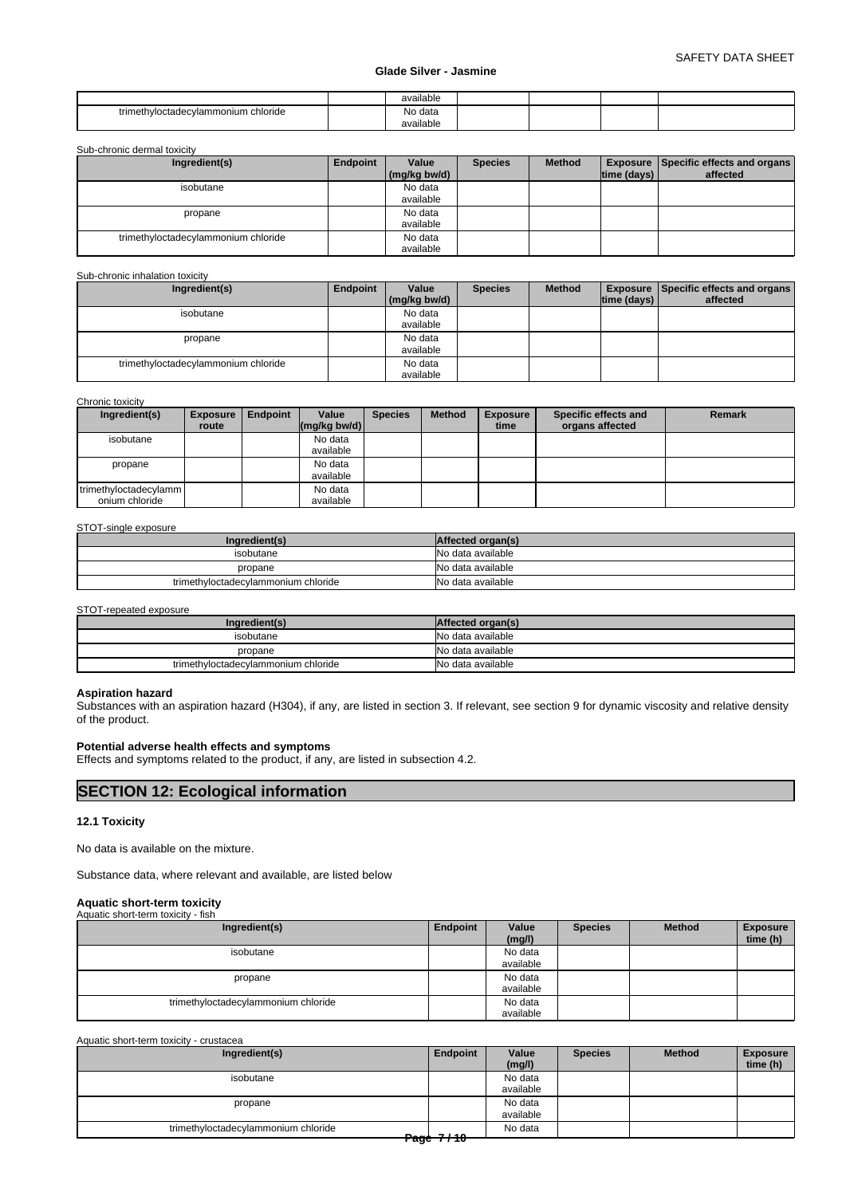|                                          | available            |  |  |
|------------------------------------------|----------------------|--|--|
| vloctadecvlammonium chloride<br>trimethy | No data<br>available |  |  |

Sub-chronic dermal toxicity

| Ingredient(s)                       | Endpoint | Value<br>(mg/kg bw/d) | <b>Species</b> | <b>Method</b> | $ time$ (days) $ $ | Exposure Specific effects and organs<br>affected |
|-------------------------------------|----------|-----------------------|----------------|---------------|--------------------|--------------------------------------------------|
| isobutane                           |          | No data               |                |               |                    |                                                  |
|                                     |          | available             |                |               |                    |                                                  |
| propane                             |          | No data               |                |               |                    |                                                  |
|                                     |          | available             |                |               |                    |                                                  |
| trimethyloctadecylammonium chloride |          | No data               |                |               |                    |                                                  |
|                                     |          | available             |                |               |                    |                                                  |

#### Sub-chronic inhalation toxicity

| Ingredient(s)                       | Endpoint | Value<br>(mg/kg bw/d) | <b>Species</b> | <b>Method</b> | time (days) | <b>Exposure Specific effects and organs</b><br>affected |
|-------------------------------------|----------|-----------------------|----------------|---------------|-------------|---------------------------------------------------------|
| isobutane                           |          | No data               |                |               |             |                                                         |
|                                     |          | available             |                |               |             |                                                         |
| propane                             |          | No data               |                |               |             |                                                         |
|                                     |          | available             |                |               |             |                                                         |
| trimethyloctadecylammonium chloride |          | No data               |                |               |             |                                                         |
|                                     |          | available             |                |               |             |                                                         |

## Chronic toxicity

| Ingredient(s)         | <b>Exposure</b> | <b>Endpoint</b> | Value                      | <b>Species</b> | <b>Method</b> | <b>Exposure</b> | Specific effects and | <b>Remark</b> |
|-----------------------|-----------------|-----------------|----------------------------|----------------|---------------|-----------------|----------------------|---------------|
|                       | route           |                 | $\frac{1}{2}$ (mg/kg bw/d) |                |               | time            | organs affected      |               |
| isobutane             |                 |                 | No data                    |                |               |                 |                      |               |
|                       |                 |                 | available                  |                |               |                 |                      |               |
| propane               |                 |                 | No data                    |                |               |                 |                      |               |
|                       |                 |                 | available                  |                |               |                 |                      |               |
| trimethyloctadecylamm |                 |                 | No data                    |                |               |                 |                      |               |
| onium chloride        |                 |                 | available                  |                |               |                 |                      |               |

#### STOT-single exposure

| Ingredient(s)                       | Affected organ(s) |
|-------------------------------------|-------------------|
| isobutane                           | No data available |
| propane                             | No data available |
| trimethyloctadecylammonium chloride | No data available |

STOT-repeated exposure

| Ingredient(s)                       | Affected organ(s) |
|-------------------------------------|-------------------|
| isobutane                           | No data available |
| propane                             | No data available |
| trimethyloctadecylammonium chloride | No data available |

# **Aspiration hazard**

Substances with an aspiration hazard (H304), if any, are listed in section 3. If relevant, see section 9 for dynamic viscosity and relative density of the product.

#### **Potential adverse health effects and symptoms**

Effects and symptoms related to the product, if any, are listed in subsection 4.2.

# **SECTION 12: Ecological information**

# **12.1 Toxicity**

No data is available on the mixture.

Substance data, where relevant and available, are listed below

# **Aquatic short-term toxicity**

| Aquatic short-term toxicity - fish  |          |                      |                |               |                             |
|-------------------------------------|----------|----------------------|----------------|---------------|-----------------------------|
| Ingredient(s)                       | Endpoint | Value<br>(mg/l)      | <b>Species</b> | <b>Method</b> | <b>Exposure</b><br>time (h) |
| isobutane                           |          | No data<br>available |                |               |                             |
| propane                             |          | No data<br>available |                |               |                             |
| trimethyloctadecylammonium chloride |          | No data<br>available |                |               |                             |

Aquatic short-term toxicity - crustacea

| Ingredient(s)                       | Endpoint      | Value<br>(mg/l)      | <b>Species</b> | <b>Method</b> | <b>Exposure</b><br>time (h) |
|-------------------------------------|---------------|----------------------|----------------|---------------|-----------------------------|
| isobutane                           |               | No data<br>available |                |               |                             |
| propane                             |               | No data<br>available |                |               |                             |
| trimethyloctadecylammonium chloride | $-220 + 7140$ | No data              |                |               |                             |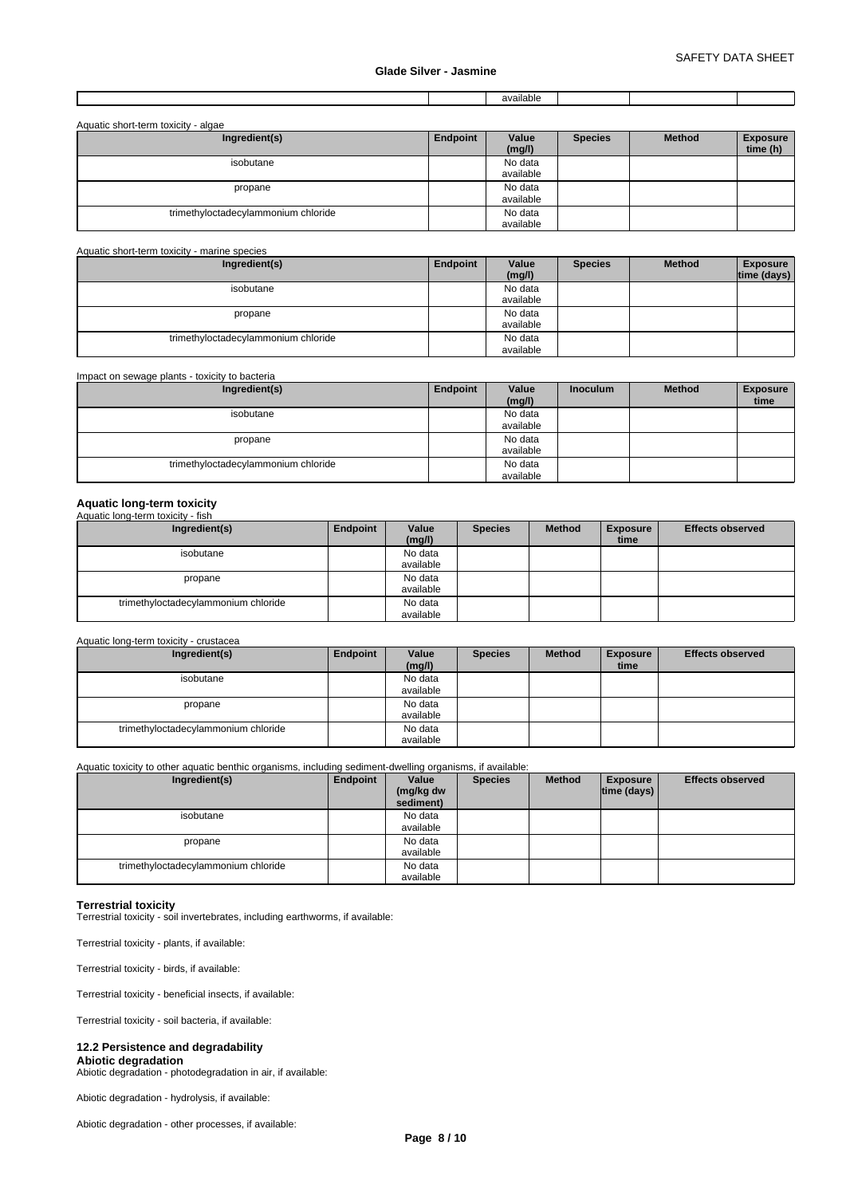| 2010h<br>$\sim$<br>Filault. |
|-----------------------------|
|-----------------------------|

| Aquatic short-term toxicity - algae |          |                 |                |               |                             |  |  |  |
|-------------------------------------|----------|-----------------|----------------|---------------|-----------------------------|--|--|--|
| Ingredient(s)                       | Endpoint | Value<br>(mg/l) | <b>Species</b> | <b>Method</b> | <b>Exposure</b><br>time (h) |  |  |  |
| isobutane                           |          | No data         |                |               |                             |  |  |  |
|                                     |          | available       |                |               |                             |  |  |  |
| propane                             |          | No data         |                |               |                             |  |  |  |
|                                     |          | available       |                |               |                             |  |  |  |
| trimethyloctadecylammonium chloride |          | No data         |                |               |                             |  |  |  |
|                                     |          | available       |                |               |                             |  |  |  |

#### Aquatic short-term toxicity - marine species **Ingredient(s) Endpoint Value** Species **(mg/l) Method** Exposure **time (days)**  isobutane No data available propane and the set of the set of the No data and the No data and the No data and the No data and the No data  $\sim$  1 No data<br>available trimethyloctadecylammonium chloride <br>
No data available

| Impact on sewage plants - toxicity to bacteria<br>Ingredient(s) | Endpoint | Value     | <b>Inoculum</b> | <b>Method</b> | <b>Exposure</b> |
|-----------------------------------------------------------------|----------|-----------|-----------------|---------------|-----------------|
|                                                                 |          | (mg/l)    |                 |               | time            |
| isobutane                                                       |          | No data   |                 |               |                 |
|                                                                 |          | available |                 |               |                 |
| propane                                                         |          | No data   |                 |               |                 |
|                                                                 |          | available |                 |               |                 |
| trimethyloctadecylammonium chloride                             |          | No data   |                 |               |                 |
|                                                                 |          | available |                 |               |                 |

# **Aquatic long-term toxicity** Aquatic long-term toxicity - fish

| <b>Aguatic IDIIG-REITH LOXICITY - IISH</b> |          |                      |                |               |                         |                         |
|--------------------------------------------|----------|----------------------|----------------|---------------|-------------------------|-------------------------|
| Ingredient(s)                              | Endpoint | Value<br>(mg/l)      | <b>Species</b> | <b>Method</b> | <b>Exposure</b><br>time | <b>Effects observed</b> |
| isobutane                                  |          | No data<br>available |                |               |                         |                         |
| propane                                    |          | No data<br>available |                |               |                         |                         |
| trimethyloctadecylammonium chloride        |          | No data<br>available |                |               |                         |                         |

#### Aquatic long-term toxicity - crustacea

| Ingredient(s)                       | Endpoint | Value     | <b>Species</b> | <b>Method</b> | <b>Exposure</b> | <b>Effects observed</b> |
|-------------------------------------|----------|-----------|----------------|---------------|-----------------|-------------------------|
|                                     |          | (mg/l)    |                |               | time            |                         |
| isobutane                           |          | No data   |                |               |                 |                         |
|                                     |          | available |                |               |                 |                         |
| propane                             |          | No data   |                |               |                 |                         |
|                                     |          | available |                |               |                 |                         |
| trimethyloctadecylammonium chloride |          | No data   |                |               |                 |                         |
|                                     |          | available |                |               |                 |                         |

Aquatic toxicity to other aquatic benthic organisms, including sediment-dwelling organisms, if available:

| Ingredient(s)                       | Endpoint | Value<br>(mg/kg dw<br>sediment) | <b>Species</b> | <b>Method</b> | <b>Exposure</b><br>$ time$ (days) $ $ | <b>Effects observed</b> |
|-------------------------------------|----------|---------------------------------|----------------|---------------|---------------------------------------|-------------------------|
| isobutane                           |          | No data<br>available            |                |               |                                       |                         |
| propane                             |          | No data<br>available            |                |               |                                       |                         |
| trimethyloctadecylammonium chloride |          | No data<br>available            |                |               |                                       |                         |

# **Terrestrial toxicity**

Terrestrial toxicity - soil invertebrates, including earthworms, if available:

Terrestrial toxicity - plants, if available:

Terrestrial toxicity - birds, if available:

Terrestrial toxicity - beneficial insects, if available:

Terrestrial toxicity - soil bacteria, if available:

# **12.2 Persistence and degradability**

**Abiotic degradation** Abiotic degradation - photodegradation in air, if available:

Abiotic degradation - hydrolysis, if available:

Abiotic degradation - other processes, if available: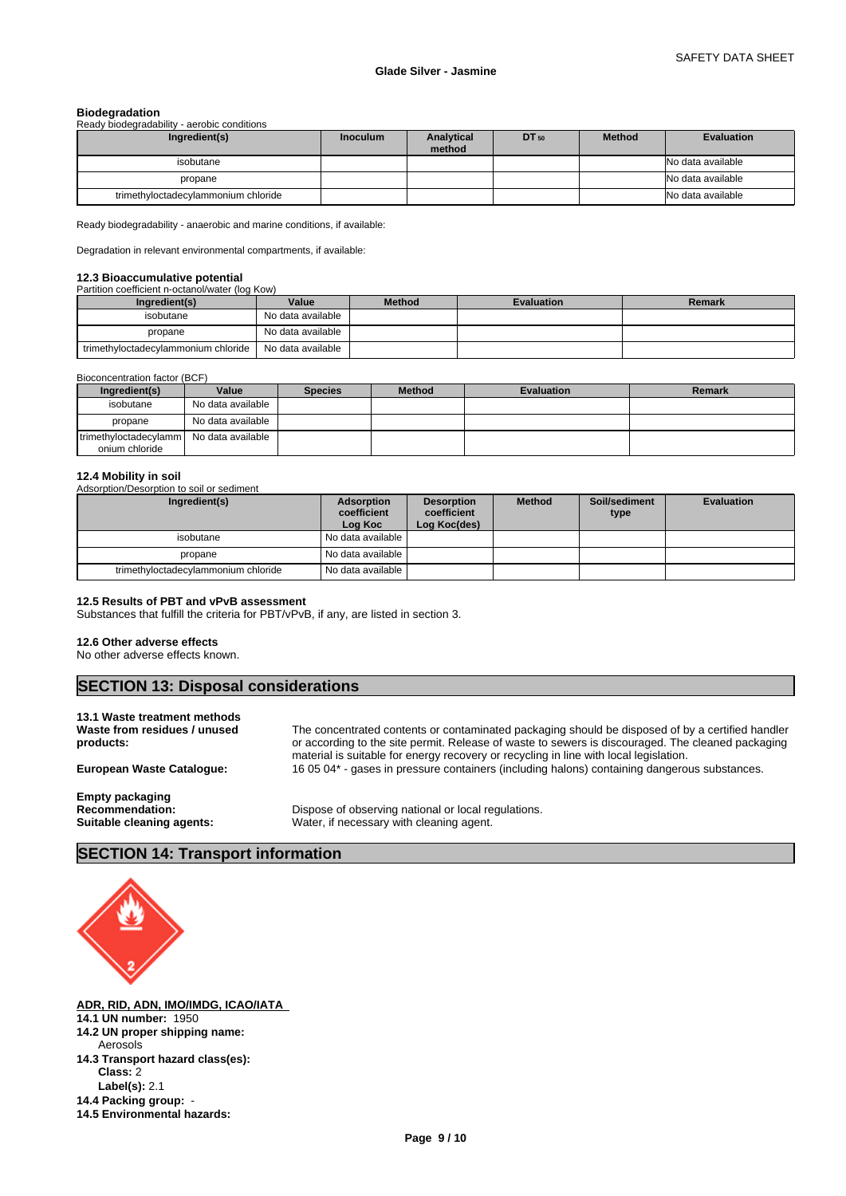| <b>Biodegradation</b>                       |                 |                      |           |               |                   |  |  |  |  |
|---------------------------------------------|-----------------|----------------------|-----------|---------------|-------------------|--|--|--|--|
| Ready biodegradability - aerobic conditions |                 |                      |           |               |                   |  |  |  |  |
| Ingredient(s)                               | <b>Inoculum</b> | Analytical<br>method | $DT_{50}$ | <b>Method</b> | <b>Evaluation</b> |  |  |  |  |
| isobutane                                   |                 |                      |           |               | No data available |  |  |  |  |
| propane                                     |                 |                      |           |               | No data available |  |  |  |  |
| trimethyloctadecylammonium chloride         |                 |                      |           |               | No data available |  |  |  |  |

Ready biodegradability - anaerobic and marine conditions, if available:

Degradation in relevant environmental compartments, if available:

#### **12.3 Bioaccumulative potential**

Partition coefficient n-octanol/water (log Kow)

| Ingredient(s)                       | Value             | <b>Method</b> | <b>Evaluation</b> | <b>Remark</b> |
|-------------------------------------|-------------------|---------------|-------------------|---------------|
| isobutane                           | No data available |               |                   |               |
| propane                             | No data available |               |                   |               |
| trimethyloctadecylammonium chloride | No data available |               |                   |               |

| Bioconcentration factor (BCF)           |                   |                |               |                   |        |  |  |  |  |  |
|-----------------------------------------|-------------------|----------------|---------------|-------------------|--------|--|--|--|--|--|
| Ingredient(s)                           | Value             | <b>Species</b> | <b>Method</b> | <b>Evaluation</b> | Remark |  |  |  |  |  |
| isobutane                               | No data available |                |               |                   |        |  |  |  |  |  |
| propane                                 | No data available |                |               |                   |        |  |  |  |  |  |
| trimethyloctadecylamm<br>onium chloride | No data available |                |               |                   |        |  |  |  |  |  |

# **12.4 Mobility in soil**

Adsorption/Desorption to soil or sediment

| Ingredient(s)                       | <b>Adsorption</b><br>coefficient<br>Log Koc | <b>Desorption</b><br>coefficient<br>Log Koc(des) | <b>Method</b> | Soil/sediment<br>type | <b>Evaluation</b> |
|-------------------------------------|---------------------------------------------|--------------------------------------------------|---------------|-----------------------|-------------------|
| isobutane                           | No data available I                         |                                                  |               |                       |                   |
| propane                             | No data available                           |                                                  |               |                       |                   |
| trimethyloctadecylammonium chloride | No data available                           |                                                  |               |                       |                   |

# **12.5 Results of PBT and vPvB assessment**

Substances that fulfill the criteria for PBT/vPvB, if any, are listed in section 3.

## **12.6 Other adverse effects**

No other adverse effects known.

# **SECTION 13: Disposal considerations**

# **13.1 Waste treatment methods**

**Waste from residues / unused products:** The concentrated contents or contaminated packaging should be disposed of by a certified handler or according to the site permit. Release of waste to sewers is discouraged. The cleaned packaging material is suitable for energy recovery or recycling in line with local legislation. **European Waste Catalogue:** 16 05 04\* - gases in pressure containers (including halons) containing dangerous substances.

**Empty packaging**

**Recommendation:** Dispose of observing national or local regulations.<br> **Suitable cleaning agents:** Water, if necessary with cleaning agent. Water, if necessary with cleaning agent.

# **SECTION 14: Transport information**



**ADR, RID, ADN, IMO/IMDG, ICAO/IATA 14.1 UN number:** 1950

- **14.2 UN proper shipping name:**
- **14.3 Transport hazard class(es): Class:** 2 Aerosols
	- **Label(s):** 2.1
- **14.4 Packing group: 14.5 Environmental hazards:**
	-